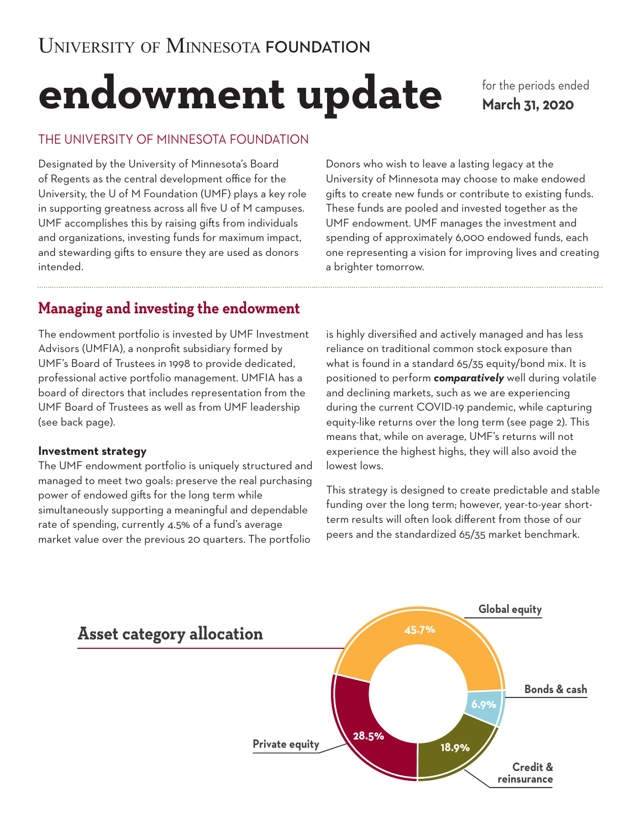# **endowment update**

for the periods ended **March 31, 2020**

## THE UNIVERSITY OF MINNESOTA FOUNDATION

Designated by the University of Minnesota's Board of Regents as the central development office for the University, the U of M Foundation (UMF) plays a key role in supporting greatness across all five U of M campuses. UMF accomplishes this by raising gifts from individuals and organizations, investing funds for maximum impact, and stewarding gifts to ensure they are used as donors intended.

Donors who wish to leave a lasting legacy at the University of Minnesota may choose to make endowed gifts to create new funds or contribute to existing funds. These funds are pooled and invested together as the UMF endowment. UMF manages the investment and spending of approximately 6,000 endowed funds, each one representing a vision for improving lives and creating a brighter tomorrow.

# **Managing and investing the endowment**

The endowment portfolio is invested by UMF Investment Advisors (UMFIA), a nonprofit subsidiary formed by UMF's Board of Trustees in 1998 to provide dedicated, professional active portfolio management. UMFIA has a board of directors that includes representation from the UMF Board of Trustees as well as from UMF leadership (see back page).

#### **Investment strategy**

The UMF endowment portfolio is uniquely structured and managed to meet two goals: preserve the real purchasing power of endowed gifts for the long term while simultaneously supporting a meaningful and dependable rate of spending, currently 4.5% of a fund's average market value over the previous 20 quarters. The portfolio

is highly diversified and actively managed and has less reliance on traditional common stock exposure than what is found in a standard 65/35 equity/bond mix. It is positioned to perform *comparatively* well during volatile and declining markets, such as we are experiencing during the current COVID-19 pandemic, while capturing equity-like returns over the long term (see page 2). This means that, while on average, UMF's returns will not experience the highest highs, they will also avoid the lowest lows.

This strategy is designed to create predictable and stable funding over the long term; however, year-to-year shortterm results will often look different from those of our peers and the standardized 65/35 market benchmark.

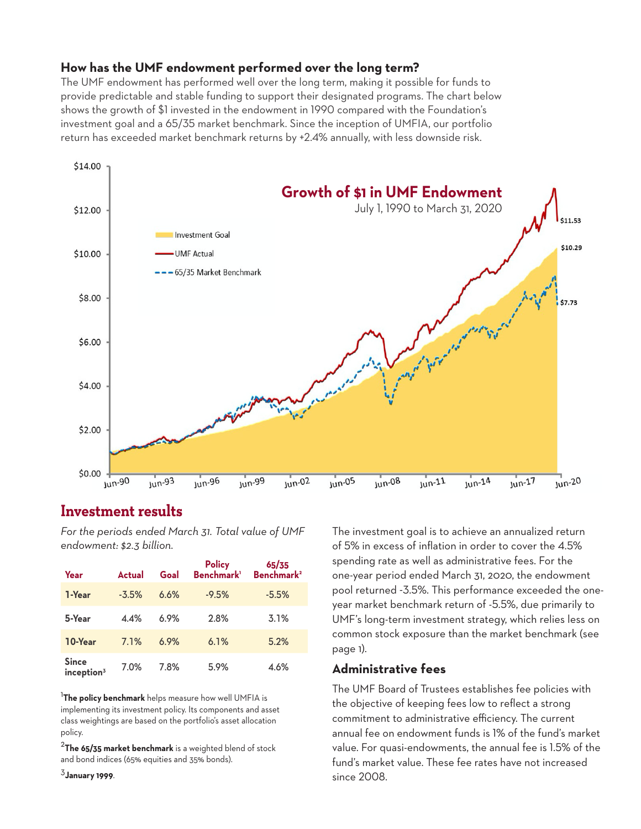#### **How has the UMF endowment performed over the long term?**

The UMF endowment has performed well over the long term, making it possible for funds to provide predictable and stable funding to support their designated programs. The chart below shows the growth of \$1 invested in the endowment in 1990 compared with the Foundation's investment goal and a 65/35 market benchmark. Since the inception of UMFIA, our portfolio return has exceeded market benchmark returns by +2.4% annually, with less downside risk.



# **Investment results**

*For the periods ended March 31. Total value of UMF endowment: \$2.3 billion.*

| Year                                   | <b>Actual</b> | Goal | <b>Policy</b><br>Benchmark <sup>1</sup> | 65/35<br>Benchmark <sup>2</sup> |
|----------------------------------------|---------------|------|-----------------------------------------|---------------------------------|
| 1-Year                                 | $-3.5%$       | 6.6% | $-9.5%$                                 | $-5.5%$                         |
| 5-Year                                 | 4.4%          | 6.9% | 2.8%                                    | 3.1%                            |
| 10-Year                                | 7.1%          | 6.9% | 6.1%                                    | 5.2%                            |
| <b>Since</b><br>inception <sup>3</sup> | 7.0%          | 7.8% | 5.9%                                    | 4.6%                            |

<sup>1</sup>**The policy benchmark** helps measure how well UMFIA is implementing its investment policy. Its components and asset class weightings are based on the portfolio's asset allocation policy.

<sup>2</sup>**The 65/35 market benchmark** is a weighted blend of stock and bond indices (65% equities and 35% bonds).

<sup>3</sup>**January 1999**.

The investment goal is to achieve an annualized return of 5% in excess of inflation in order to cover the 4.5% spending rate as well as administrative fees. For the one-year period ended March 31, 2020, the endowment pool returned -3.5%. This performance exceeded the oneyear market benchmark return of -5.5%, due primarily to UMF's long-term investment strategy, which relies less on common stock exposure than the market benchmark (see page 1).

#### **Administrative fees**

The UMF Board of Trustees establishes fee policies with the objective of keeping fees low to reflect a strong commitment to administrative efficiency. The current annual fee on endowment funds is 1% of the fund's market value. For quasi-endowments, the annual fee is 1.5% of the fund's market value. These fee rates have not increased since 2008.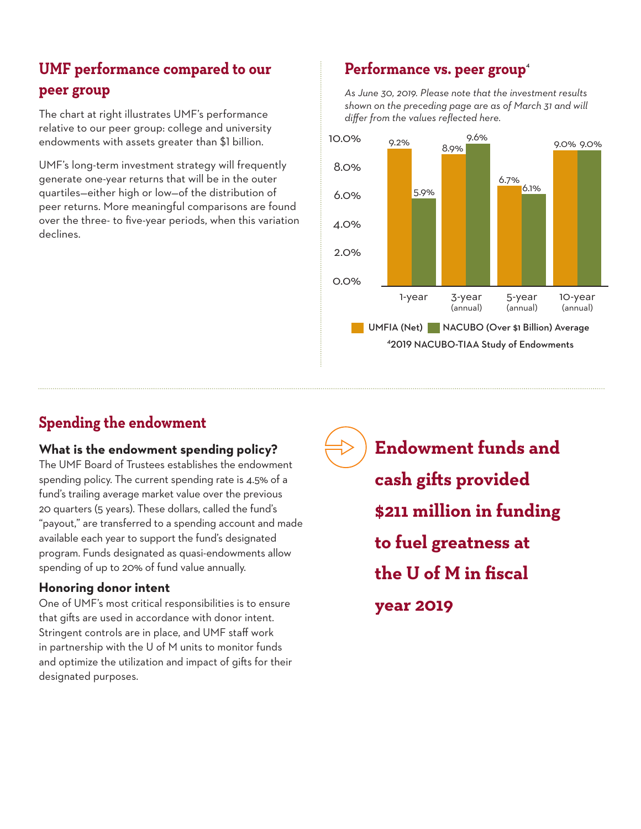# **UMF performance compared to our peer group**

The chart at right illustrates UMF's performance relative to our peer group: college and university endowments with assets greater than \$1 billion.

UMF's long-term investment strategy will frequently generate one-year returns that will be in the outer quartiles—either high or low—of the distribution of peer returns. More meaningful comparisons are found over the three- to five-year periods, when this variation declines.

# Performance vs. peer group<sup>4</sup>

*As June 30, 2019. Please note that the investment results shown on the preceding page are as of March 31 and will differ from the values reflected here.* 



# **Spending the endowment**

## **What is the endowment spending policy?**

The UMF Board of Trustees establishes the endowment spending policy. The current spending rate is 4.5% of a fund's trailing average market value over the previous 20 quarters (5 years). These dollars, called the fund's "payout," are transferred to a spending account and made available each year to support the fund's designated program. Funds designated as quasi-endowments allow spending of up to 20% of fund value annually.

## **Honoring donor intent**

One of UMF's most critical responsibilities is to ensure that gifts are used in accordance with donor intent. Stringent controls are in place, and UMF staff work in partnership with the U of M units to monitor funds and optimize the utilization and impact of gifts for their designated purposes.

**Endowment funds and cash gifts provided \$211 million in funding to fuel greatness at the U of M in fiscal year 2019**